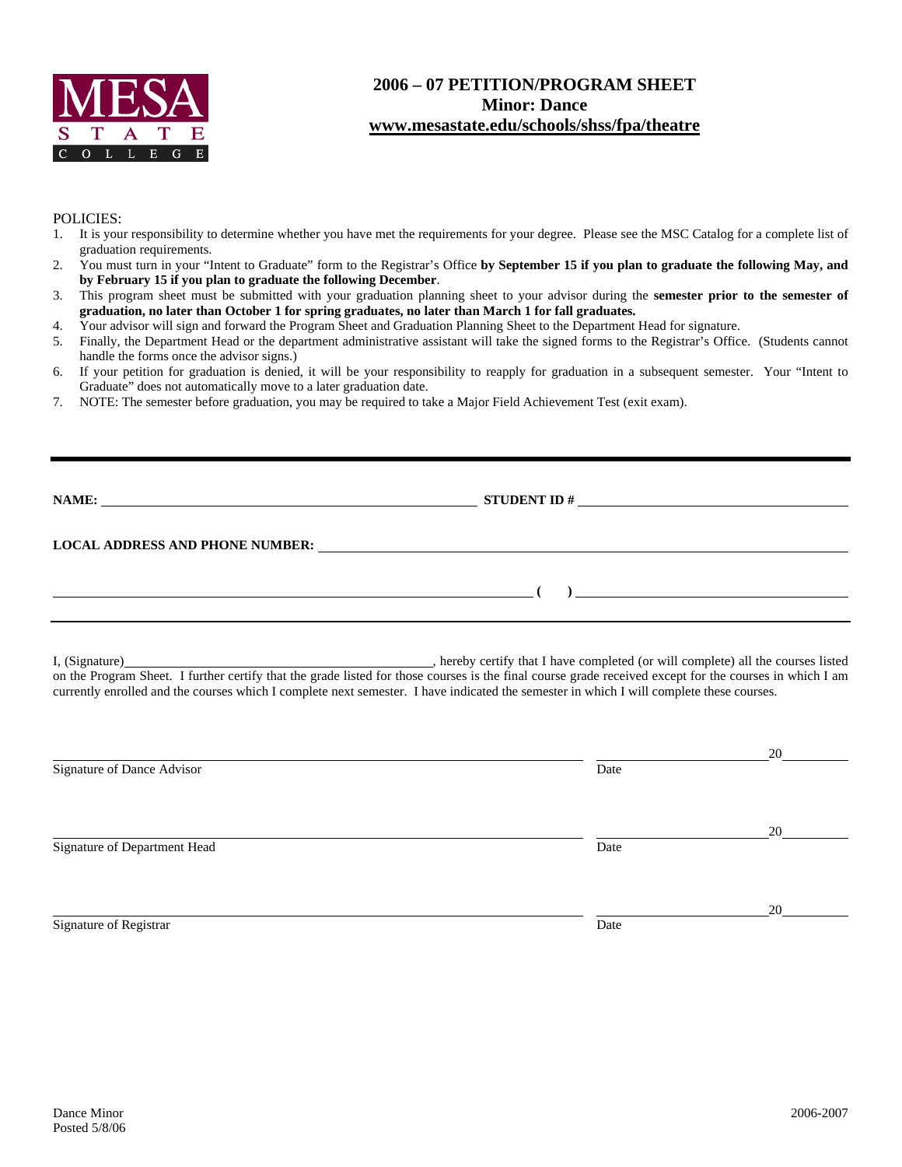

## **2006 – 07 PETITION/PROGRAM SHEET Minor: Dance www.mesastate.edu/schools/shss/fpa/theatre**

## POLICIES:

- 1. It is your responsibility to determine whether you have met the requirements for your degree. Please see the MSC Catalog for a complete list of graduation requirements.
- 2. You must turn in your "Intent to Graduate" form to the Registrar's Office **by September 15 if you plan to graduate the following May, and by February 15 if you plan to graduate the following December**.
- 3. This program sheet must be submitted with your graduation planning sheet to your advisor during the **semester prior to the semester of graduation, no later than October 1 for spring graduates, no later than March 1 for fall graduates.**
- 4. Your advisor will sign and forward the Program Sheet and Graduation Planning Sheet to the Department Head for signature.
- 5. Finally, the Department Head or the department administrative assistant will take the signed forms to the Registrar's Office. (Students cannot handle the forms once the advisor signs.)
- 6. If your petition for graduation is denied, it will be your responsibility to reapply for graduation in a subsequent semester. Your "Intent to Graduate" does not automatically move to a later graduation date.
- 7. NOTE: The semester before graduation, you may be required to take a Major Field Achievement Test (exit exam).

| NAME:<br><u> 1980 - John Stein, marking and de broad and de broad and de broad and de broad and de broad and de broad and</u> | <b>STUDENT ID#</b><br><u> 1989 - Jan Barbara, martin da basar da basar da basar da basar da basar da basar da basar da basar da basar</u> |  |
|-------------------------------------------------------------------------------------------------------------------------------|-------------------------------------------------------------------------------------------------------------------------------------------|--|
| <b>LOCAL ADDRESS AND PHONE NUMBER:</b>                                                                                        |                                                                                                                                           |  |
|                                                                                                                               |                                                                                                                                           |  |
|                                                                                                                               |                                                                                                                                           |  |

I, (Signature) , hereby certify that I have completed (or will complete) all the courses listed on the Program Sheet. I further certify that the grade listed for those courses is the final course grade received except for the courses in which I am currently enrolled and the courses which I complete next semester. I have indicated the semester in which I will complete these courses.

|                              |      | 20 |
|------------------------------|------|----|
| Signature of Dance Advisor   | Date |    |
|                              |      |    |
|                              |      | 20 |
| Signature of Department Head | Date |    |
|                              |      |    |
|                              |      | 20 |
| Signature of Registrar       | Date |    |